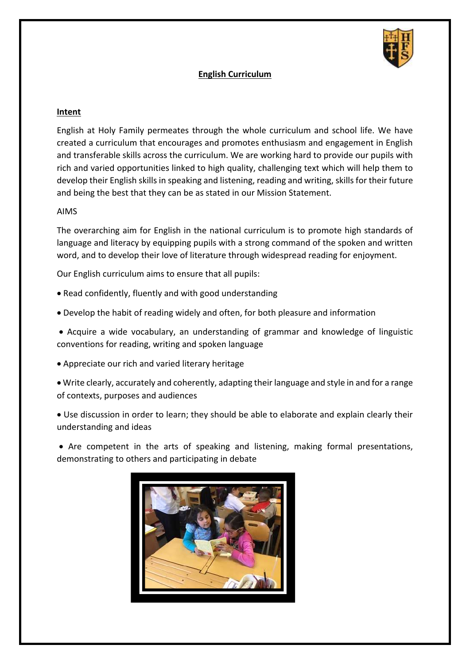

# **English Curriculum**

#### **Intent**

English at Holy Family permeates through the whole curriculum and school life. We have created a curriculum that encourages and promotes enthusiasm and engagement in English and transferable skills across the curriculum. We are working hard to provide our pupils with rich and varied opportunities linked to high quality, challenging text which will help them to develop their English skills in speaking and listening, reading and writing, skills for their future and being the best that they can be as stated in our Mission Statement.

#### AIMS

The overarching aim for English in the national curriculum is to promote high standards of language and literacy by equipping pupils with a strong command of the spoken and written word, and to develop their love of literature through widespread reading for enjoyment.

Our English curriculum aims to ensure that all pupils:

- Read confidently, fluently and with good understanding
- Develop the habit of reading widely and often, for both pleasure and information
- Acquire a wide vocabulary, an understanding of grammar and knowledge of linguistic conventions for reading, writing and spoken language
- Appreciate our rich and varied literary heritage
- Write clearly, accurately and coherently, adapting their language and style in and for a range of contexts, purposes and audiences
- Use discussion in order to learn; they should be able to elaborate and explain clearly their understanding and ideas
- Are competent in the arts of speaking and listening, making formal presentations, demonstrating to others and participating in debate

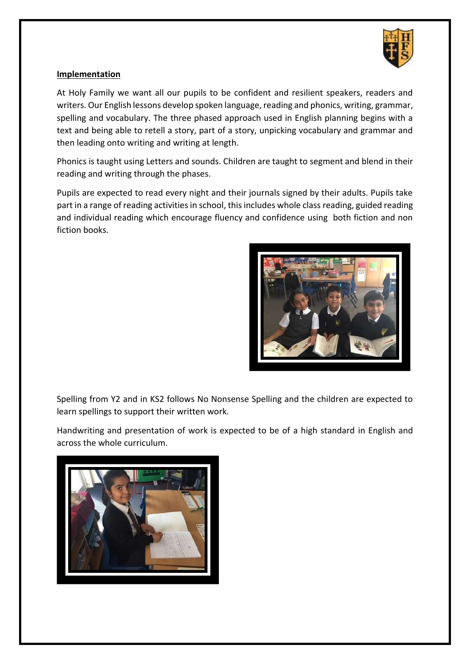

# **Implementation**

At Holy Family we want all our pupils to be confident and resilient speakers, readers and writers. Our English lessons develop spoken language, reading and phonics, writing, grammar, spelling and vocabulary. The three phased approach used in English planning begins with a text and being able to retell a story, part of a story, unpicking vocabulary and grammar and then leading onto writing and writing at length.

Phonics is taught using Letters and sounds. Children are taught to segment and blend in their reading and writing through the phases.

Pupils are expected to read every night and their journals signed by their adults. Pupils take part in a range of reading activities in school, this includes whole class reading, guided reading and individual reading which encourage fluency and confidence using both fiction and non fiction books.



Spelling from Y2 and in KS2 follows No Nonsense Spelling and the children are expected to learn spellings to support their written work.

Handwriting and presentation of work is expected to be of a high standard in English and across the whole curriculum.

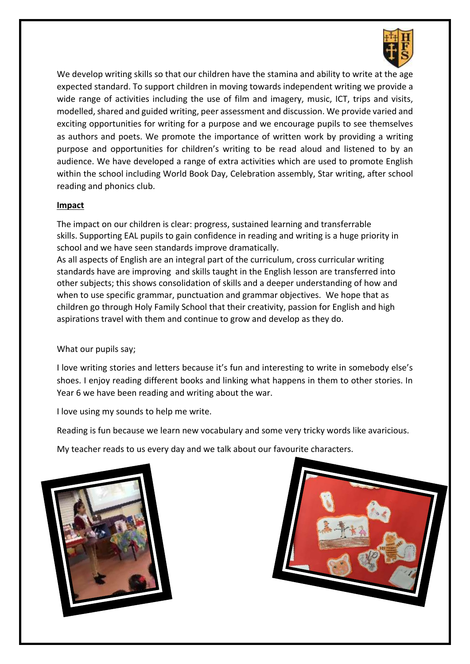

We develop writing skills so that our children have the stamina and ability to write at the age expected standard. To support children in moving towards independent writing we provide a wide range of activities including the use of film and imagery, music, ICT, trips and visits, modelled, shared and guided writing, peer assessment and discussion. We provide varied and exciting opportunities for writing for a purpose and we encourage pupils to see themselves as authors and poets. We promote the importance of written work by providing a writing purpose and opportunities for children's writing to be read aloud and listened to by an audience. We have developed a range of extra activities which are used to promote English within the school including World Book Day, Celebration assembly, Star writing, after school reading and phonics club.

## **Impact**

The impact on our children is clear: progress, sustained learning and transferrable skills. Supporting EAL pupils to gain confidence in reading and writing is a huge priority in school and we have seen standards improve dramatically.

As all aspects of English are an integral part of the curriculum, cross curricular writing standards have are improving and skills taught in the English lesson are transferred into other subjects; this shows consolidation of skills and a deeper understanding of how and when to use specific grammar, punctuation and grammar objectives. We hope that as children go through Holy Family School that their creativity, passion for English and high aspirations travel with them and continue to grow and develop as they do.

## What our pupils say;

I love writing stories and letters because it's fun and interesting to write in somebody else's shoes. I enjoy reading different books and linking what happens in them to other stories. In Year 6 we have been reading and writing about the war.

I love using my sounds to help me write.

Reading is fun because we learn new vocabulary and some very tricky words like avaricious.

My teacher reads to us every day and we talk about our favourite characters.